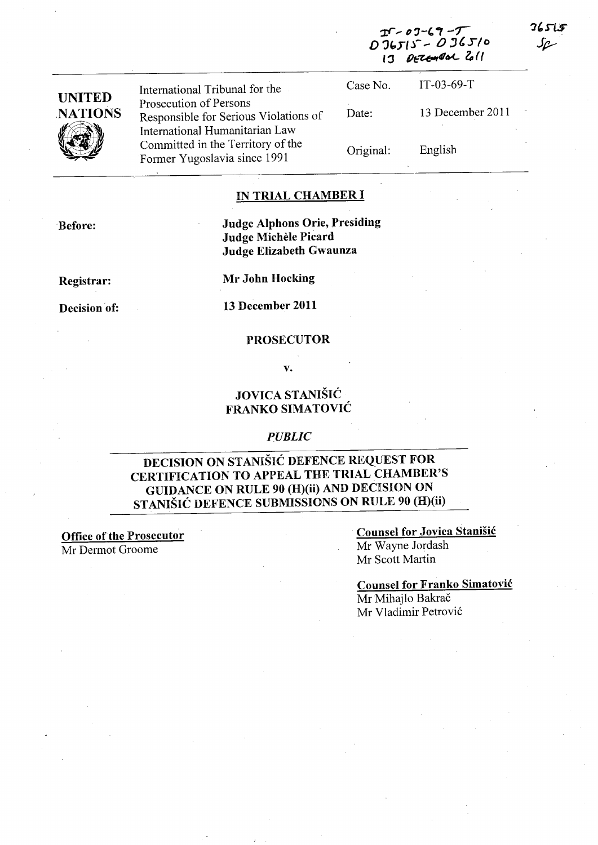|                                 |                                                                                                   | 13 DETEMBAL 211 |                  |  |
|---------------------------------|---------------------------------------------------------------------------------------------------|-----------------|------------------|--|
|                                 | International Tribunal for the                                                                    | Case No.        | $IT-03-69-T$     |  |
| <b>UNITED</b><br><b>NATIONS</b> | Prosecution of Persons<br>Responsible for Serious Violations of<br>International Humanitarian Law | Date:           | 13 December 2011 |  |
|                                 | Committed in the Territory of the<br>Former Yugoslavia since 1991                                 | Original:       | English          |  |

### IN TRIAL CHAMBER I

Judge Alphons Orie, Presiding Judge Michèle Picard Judge Elizabeth Gwaunza

Registrar:

Before:

Mr John Hocking

Decision of:

13 December 2011

#### PROSECUTOR

v.

# JOVICA STANISIC FRANKO SIMATOVIC

#### *PUBLIC*

# DECISION ON STANIŠIĆ DEFENCE REQUEST FOR CERTIFICATION TO APPEAL THE TRIAL CHAMBER'S GUIDANCE ON RULE 90 (H)(ii) AND DECISION ON STANISIC DEFENCE SUBMISSIONS ON RULE 90 (H)(ii)

Office of the Prosecutor Mr Dermot Groome

Counsel for Jovica Stanisic Mr Wayne lordash Mr Scott Martin

Counsel for Franko Simatovic Mr Mihajlo Bakrač Mr Vladimir Petrović

**36515** متماك

<u>if , 07 - 69 - 7</u><br>V = V = , 0, 9 ( 5 / 1 D 'JC:,rl.l- - <sup>0</sup>*"Slo*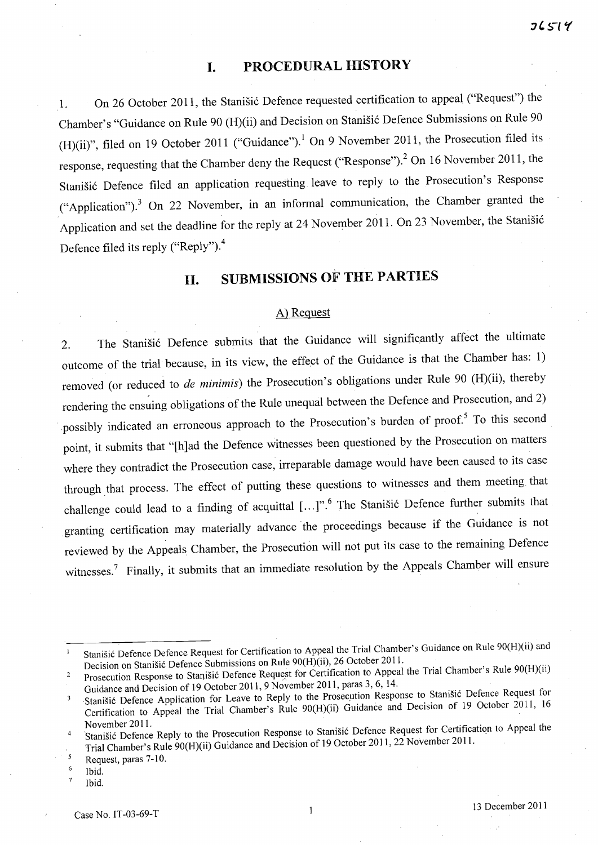## **I. PROCEDURAL HISTORY**

1. On 26 October 2011, the Stanisic Defence requested certification to appeal ("Request") the Chamber's "Guidance on Rule 90 (H)(ii) and Decision on Stanisic Defence Submissions on Rule 90 (H)(ii)", filed on 19 October 2011 ("Guidance").<sup>1</sup> On 9 November 2011, the Prosecution filed its response, requesting that the Chamber deny the Request ("Response").<sup>2</sup> On 16 November 2011, the Stanisic Defence filed an application requesting leave to reply to the Prosecution's Response ("Application").<sup>3</sup> On 22 November, in an informal communication, the Chamber granted the Application and set the deadline for the reply at 24 November 2011. On 23 November, the Stanišić Defence filed its reply ("Reply").<sup>4</sup>

# **11. SUBMISSIONS OF THE PARTIES**

### A) Request

2. The Stanisic Defence submits that the Guidance will significantly affect the ultimate outcome of the trial because, in its view, the effect of the Guidance is that the Chamber has: 1) removed (or reduced to *de minimis)* the Prosecution's obligations under Rule 90 (H)(ii), thereby rendering the ensuing obligations of the Rule unequal between the Defence and Prosecution, and 2) possibly indicated an erroneous approach to the Prosecution's burden of proof.<sup>5</sup> To this second point, it submits that "[h]ad the Defence witnesses been questioned by the Prosecution on matters where they contradict the Prosecution case, irreparable damage would have been caused to its case through that process. The effect of putting these questions to witnesses and them meeting that challenge could lead to a finding of acquittal [...]".<sup>6</sup> The Stanišić Defence further submits that granting certification may materially advance the proceedings because if the Guidance is not reviewed by the Appeals Chamber, the Prosecution will not put its case to the remaining Defence witnesses.<sup>7</sup> Finally, it submits that an immediate resolution by the Appeals Chamber will ensure

Stanisic Defence Defence Request for Certification to Appeal the Trial Chamber's Guidance on Rule 90(H)(ii) and  $\mathbf{1}$ Decision on Stanisic Defence Submissions on Rule 90(H)(ii), 26 October 2011.

Prosecution Response to Stanišić Defence Request for Certification to Appeal the Trial Chamber's Rule 90(H)(ii)  $\overline{2}$ Guidance and Decision of 19 October 2011, 9 November 2011, paras 3, 6, 14.

Stanišić Defence Application for Leave to Reply to the Prosecution Response to Stanišić Defence Request for  $\overline{\mathbf{3}}$ Certification to Appeal the Trial Chamber's Rule 90(H)(ii) Guidance and Decision of 19 October 2011, <sup>16</sup>

<sup>4</sup>  November 2011.<br>Stanišić Defence Reply to the Prosecution Response to Stanišić Defence Request for Certification to Appeal the Trial Chamber's Rule 90(H)(ii) Guidance and Decision of 19 October 2011, 22 November 2011.

 $\overline{\phantom{a}}$ Request, paras 7-10.

<sup>6</sup> Ibid.

 $\overline{7}$ Ibid.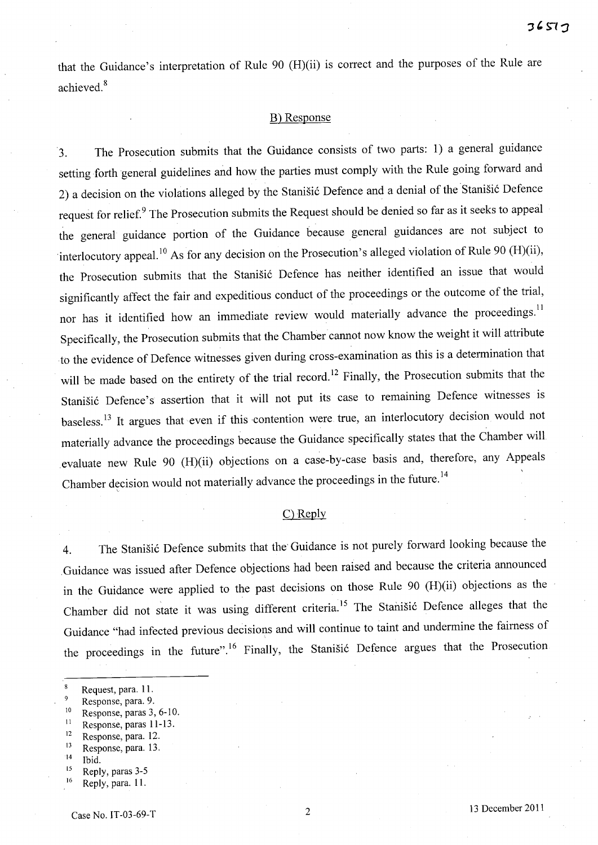that the Guidance's interpretation of Rule 90 (H)(ii) is correct and the purposes of the Rule are achieved. 8

### B) Response

'3. The Prosecution submits that the Guidance consists of two parts: 1) a general guidance setting forth general guidelines and how the parties must comply with the Rule going forward and 2) a decision on the violations alleged by the Stanišić Defence and a denial of the Stanišić Defence request for relief.<sup>9</sup> The Prosecution submits the Request should be denied so far as it seeks to appeal the general guidance portion of the Guidance because general guidances are not subject to interlocutory appeal.<sup>10</sup> As for any decision on the Prosecution's alleged violation of Rule 90 (H)(ii), the Prosecution submits that the Stanišić Defence has neither identified an issue that would significantly affect the fair and expeditious conduct of the proceedings or the outcome of the trial, nor has it identified how an immediate review would materially advance the proceedings.<sup>11</sup> Specifically, the Prosecution submits that the Chamber cannot now know the weight it will attribute to the evidence of Defence witnesses given during cross-examination as this is a determination that will be made based on the entirety of the trial record.<sup>12</sup> Finally, the Prosecution submits that the Stanišić Defence's assertion that it will not put its case to remaining Defence witnesses is baseless.<sup>13</sup> It argues that even if this contention were true, an interlocutory decision would not materially advance the proceedings because the Guidance specifically states that the Chamber will ,evaluate new Rule 90 (H)(ii) objections on a case-by-case basis and, therefore, any Appeals Chamber decision would not materially advance the proceedings in the future.<sup>14</sup>

#### C) Reply

4. The Stanišić Defence submits that the Guidance is not purely forward looking because the ,Guidance was issued after Defence objections had been raised and because the criteria announced in the Guidance were applied to the past decisions on those Rule 90 (H)(ii) objections as the Chamber did not state it was using different criteria.<sup>15</sup> The Stanišić Defence alleges that the Guidance "had infected previous decisions and will continue to taint and undermine the fairness of the proceedings in the future".<sup>16</sup> Finally, the Stanisic Defence argues that the Prosecution

- 10 Response, paras 3, 6-10.
- $11$  Response, paras 11-13.
- 12 Response, para. 12.
- 13 Response, para. 13.
- $14$  Ibid.
- 15 Reply, paras 3-5

 $\bf{8}$ Request, para. 11.

Response, para. 9.

<sup>&</sup>lt;sup>16</sup> Reply, para. 11.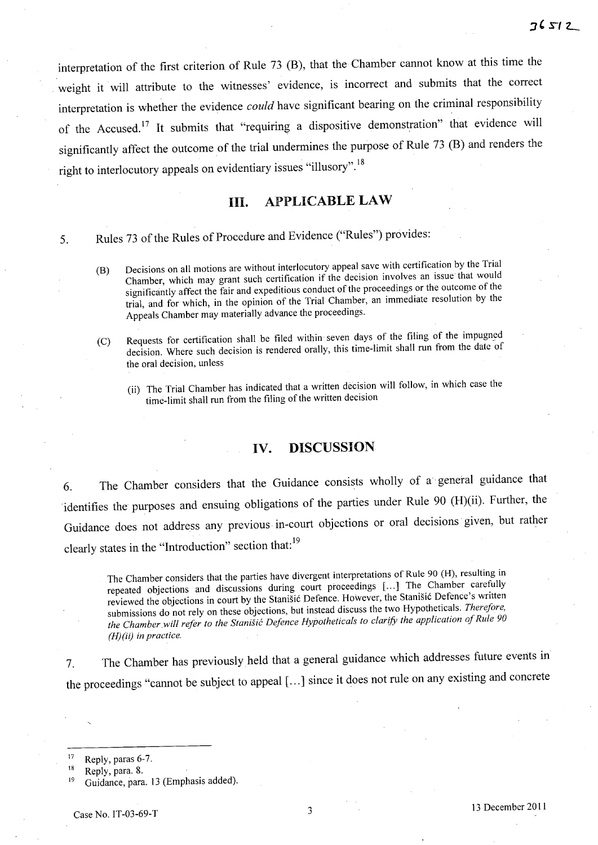interpretation of the first criterion of Rule <sup>73</sup>(B), that the Chamber cannot know at this time the weight it will attribute to the witnesses' evidence, is incorrect and submits that the correct interpretation is whether the evidence *could* have significant bearing on the criminal responsibility of the Accused.<sup>17</sup> It submits that "requiring a dispositive demonstration" that evidence will significantly affect the outcome of the trial undermines the purpose of Rule 73 (B) and renders the right to interlocutory appeals on evidentiary issues "illusory". <sup>18</sup>

### **HI. APPLICABLE LAW**

5. Rules 73 of the Rules of Procedure and Evidence ("Rules") provides:

- (B) Decisions on all motions are without interlocutory appeal save with certification by the Trial Chamber, which may grant such certification if the decision involves an issue that would significantly affect the fair and expeditious conduct of the proceedings or the outcome of the trial, and for which, in the opinion of the Trial Chamber, an immediate resolution by the Appeals Chamber may materially advance the proceedings.
- (C) Requests for certification shall be filed within seven days of the filing of the impugned decision. Where such decision is rendered orally, this time-limit shall run from the date of the oral decision, unless
	- (ii) The Trial Chamber has indicated that a written decision will follow, in which case the time-limit shall run from the filing of the written decision

#### **IV. DISCUSSION**

6. The Chamber considers that the Guidance consists wholly of a" general guidance that identifies the purposes and ensuing obligations of the parties under Rule 90 (H)(ii). Further, the Guidance does not address any previous in-court objections or oral decisions' given, but rather clearly states in the "Introduction" section that:<sup>19</sup>

The Chamber considers that the parties have divergent interpretations of Rule 90 (H), resulting in repeated objections and discussions during court proceedings [...] The Chamber carefully reviewed the objections in court by the Stanisic Defence. However, the Stanisic Defence's written submissions do not rely on these objections, but instead discuss the two Hypotheticals. *Therefore, the Chamber will refer to the Stanisic Defence Hypotheticals to clarify the application of Rule 90 (H)(ii) in practice.* 

7. The Chamber has previously held that a general guidance which addresses future events in the proceedings "cannot be subject to appeal [...] since it does not rule on any existing and concrete

 $17$  Reply, paras 6-7.

 $18$  Reply, para. 8.

<sup>19</sup>Guidance, para. <sup>13</sup>(Emphasis added).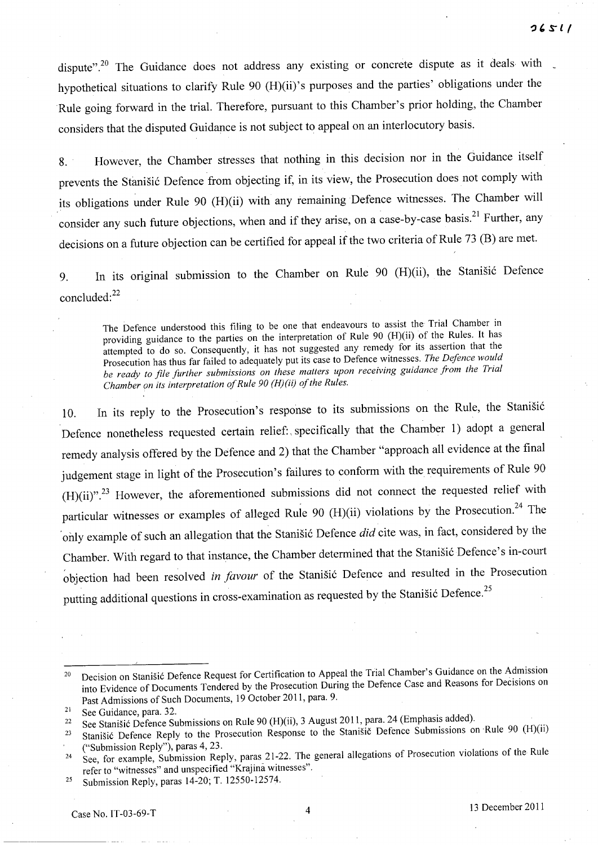dispute".<sup>20</sup> The Guidance does not address any existing or concrete dispute as it deals with hypothetical situations to clarify Rule 90 (H)(ii)'s purposes and the parties' obligations under the Rule going forward in the trial. Therefore, pursuant to this Chamber's prior holding, the Chamber considers that the disputed Guidance is not subject to appeal on an interlocutory basis.

8. However, the Chamber stresses that nothing in this decision nor in the Guidance itself prevents the Stanišić Defence from objecting if, in its view, the Prosecution does not comply with its obligations under Rule 90 (H)(ii) with any remaining Defence witnesses. The Chamber will consider any such future objections, when and if they arise, on a case-by-case basis.<sup>21</sup> Further, any decisions on a future objection can be certified for appeal if the two criteria of Rule 73 (B) are met.

9. In its original submission to the Chamber on Rule 90 (H)(ii), the Stanisic Defence concluded:<sup>22</sup>

The Defence understood this filing to be one that endeavours to assist the Trial Chamber in providing guidance to the parties on the interpretation of Rule 90 (H)(ii) of the Rules. It has attempted to do so. Consequently, it has not suggested any remedy for its assertion that the Prosecution has thus far failed to adequately put its case to Defence witnesses. *The Defence would be ready to file further submissions on these matters upon receiving guidance from the Trial Chamber on its interpretation of Rule 90 (H)(ii) of the Rules.* 

10. In its reply to the Prosecution's response to its submissions on the Rule, the Stanišić Defence nonetheless requested certain relief:, specifically that the Chamber 1) adopt a general remedy analysis offered by the Defence and 2) that the Chamber "approach all evidence at the final judgement stage in light of the Prosecution's failures to conform with the requirements of Rule 90  $(H)(ii)$ ".<sup>23</sup> However, the aforementioned submissions did not connect the requested relief with particular witnesses or examples of alleged Rule 90 (H)(ii) violations by the Prosecution.<sup>24</sup> The only example of such an allegation that the Stanisic Defence *did* cite was, in fact, considered by the Chamber. With regard to that instance, the Chamber determined that the Stanišić Defence's in-court objection had been resolved *in favour* of the Stanišić Defence and resulted in the Prosecution putting additional questions in cross-examination as requested by the Stanišić Defence.<sup>25</sup>

25 Submission Reply, paras 14-20; T. 12550-12574.

<sup>&</sup>lt;sup>20</sup> Decision on Stanišić Defence Request for Certification to Appeal the Trial Chamber's Guidance on the Admission into Evidence of Documents Tendered by the Prosecution During the Defence Case and Reasons for Decisions on Past Admissions of Such Documents, 19 October 2011, para. 9.

<sup>21</sup> See Guidance, para. 32.

<sup>&</sup>lt;sup>22</sup> See Stanišić Defence Submissions on Rule 90 (H)(ii), 3 August 2011, para. 24 (Emphasis added).

<sup>&</sup>lt;sup>23</sup> Stanišić Defence Reply to the Prosecution Response to the Stanišic Defence Submissions on Rule 90 (H)(ii) ("Submission Reply"), paras 4, 23.

<sup>&</sup>lt;sup>24</sup> See, for example, Submission Reply, paras 21-22. The general allegations of Prosecution violations of the Rule refer to "witnesses" and unspecified "Krajina witnesses".